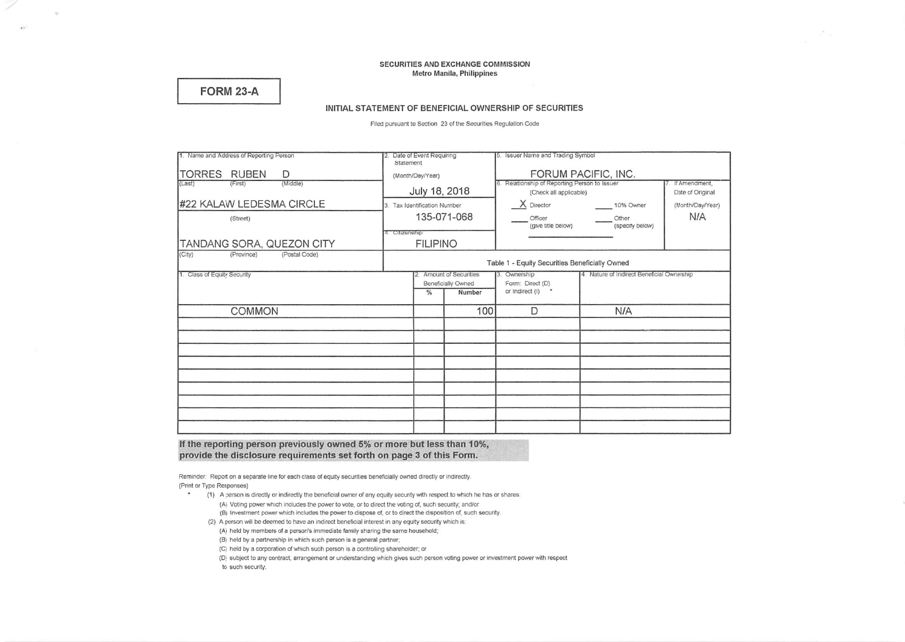### SECURITIES AND EXCHANGE COMMISSION Metro Manila, Philippines

# **FORM 23-A**

 $\mathcal{R}$ 

ay)

### INITIAL STATEMENT OF BENEFICIAL OWNERSHIP OF SECURITIES

Filed pursuant to Section 23 of the Securities Regulation Code

| 1. Name and Address of Reporting Person | Date of Event Requiring<br>2.<br>Statement     |                          | 5. Issuer Name and Trading Symbol |                                                                |                                            |                  |  |  |
|-----------------------------------------|------------------------------------------------|--------------------------|-----------------------------------|----------------------------------------------------------------|--------------------------------------------|------------------|--|--|
| TORRES RUBEN<br>D                       | (Month/Day/Year)                               |                          |                                   | FORUM PACIFIC, INC.                                            |                                            |                  |  |  |
| (Middle)<br>(Last)<br>(First)           |                                                |                          |                                   | 6. Relationship of Reporting Person to Issuer<br>If Amendment, |                                            |                  |  |  |
|                                         | July 18, 2018                                  |                          |                                   | (Check all applicable)                                         | Date of Original                           |                  |  |  |
| #22 KALAW LEDESMA CIRCLE                | Tax Identification Number<br>3.                |                          |                                   | $X$ Director                                                   | 10% Owner                                  | (Month/Day/Year) |  |  |
| (Street)                                | 135-071-068                                    |                          |                                   | Officer<br>Other<br>(specify below)<br>(give title below)      |                                            | N/A              |  |  |
|                                         | 4. Citizenship                                 |                          |                                   |                                                                |                                            |                  |  |  |
| TANDANG SORA, QUEZON CITY               | <b>FILIPINO</b>                                |                          |                                   |                                                                |                                            |                  |  |  |
| (City)<br>(Postal Code)<br>(Province)   |                                                |                          |                                   |                                                                |                                            |                  |  |  |
|                                         | Table 1 - Equity Securities Beneficially Owned |                          |                                   |                                                                |                                            |                  |  |  |
| 1. Class of Equity Security             |                                                | 12. Amount of Securities |                                   | 3. Ownership                                                   | 4. Nature of Indirect Beneficial Ownership |                  |  |  |
|                                         | Beneficially Owned                             |                          | Form: Direct (D)                  |                                                                |                                            |                  |  |  |
|                                         |                                                | $\frac{9}{6}$            | Number                            | or Indirect (I) *                                              |                                            |                  |  |  |
| <b>COMMON</b>                           |                                                | 100                      |                                   | D                                                              | N/A                                        |                  |  |  |
|                                         |                                                |                          |                                   |                                                                |                                            |                  |  |  |
|                                         |                                                |                          |                                   |                                                                |                                            |                  |  |  |
|                                         |                                                |                          |                                   |                                                                |                                            |                  |  |  |
|                                         |                                                |                          |                                   |                                                                |                                            |                  |  |  |
|                                         |                                                |                          |                                   |                                                                |                                            |                  |  |  |
|                                         |                                                |                          |                                   |                                                                |                                            |                  |  |  |
|                                         |                                                |                          |                                   |                                                                |                                            |                  |  |  |
|                                         |                                                |                          |                                   |                                                                |                                            |                  |  |  |
|                                         |                                                |                          |                                   |                                                                |                                            |                  |  |  |

### If the reporting person previously owned 5% or more but less than 10%, provide the disclosure requirements set forth on page 3 of this Form.

Reminder: Report on a separate line for each class of equity securities beneficially owned directly or indirectly. (Print or Type Responses)

- (1) A person is directly or indirectly the beneficial owner of any equity security with respect to which he has or shares: (A) Voting power which includes the power to vote, or to direct the voting of, such security; and/or
	- (B) Investment power which includes the power to dispose of, or to direct the disposition of, such security.
	- (2) A person will be deemed to have an indirect beneficial interest in any equity security which is: (A) held by members of a person's immediate family sharing the same household;
		- (B) held by a partnership in which such person is a general partner;
		- (C) held by a corporation of which such person is a controlling shareholder; or
		- (D) subject to any contract, arrangement or understanding which gives such person voting power or investment power with respect
		- to such security.

 $\star$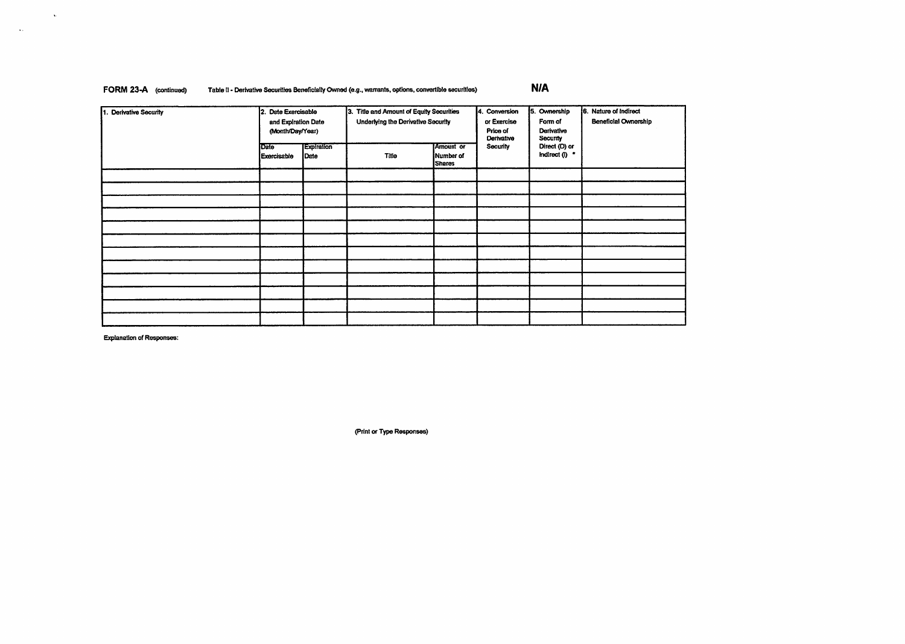## FORM 23-A (continued) Table II - Derivative Securities Beneficially Owned (e.g., warrants, options, convertible securities) N/A

| π<br><b>Derivative Security</b> | 2. Date Exercisable<br>and Expiration Date<br>(Month/Day/Year) |                    | 3. Title and Amount of Equity Securities<br>Underlying the Derivative Security | 4. Conversion<br>or Exercise<br>Price of<br>Derivative | 5. Ownership<br>Form of<br>Derivative<br>Security | 6. Nature of Indirect<br><b>Beneficial Ownership</b> |  |
|---------------------------------|----------------------------------------------------------------|--------------------|--------------------------------------------------------------------------------|--------------------------------------------------------|---------------------------------------------------|------------------------------------------------------|--|
|                                 | Date<br><b>Exercisable</b>                                     | Expiration<br>Date | Title                                                                          | Amount or<br>Number of<br><b>Shares</b>                | Security                                          | Direct (D) or<br>Indirect $(1)$ $\bullet$            |  |
|                                 |                                                                |                    |                                                                                |                                                        |                                                   |                                                      |  |
|                                 |                                                                |                    |                                                                                |                                                        |                                                   |                                                      |  |
|                                 |                                                                |                    |                                                                                |                                                        |                                                   |                                                      |  |
|                                 |                                                                |                    |                                                                                |                                                        |                                                   |                                                      |  |
|                                 |                                                                |                    |                                                                                |                                                        |                                                   |                                                      |  |
|                                 |                                                                |                    |                                                                                |                                                        |                                                   |                                                      |  |
|                                 |                                                                |                    |                                                                                |                                                        |                                                   |                                                      |  |
|                                 |                                                                |                    |                                                                                |                                                        |                                                   |                                                      |  |
|                                 |                                                                |                    |                                                                                |                                                        |                                                   |                                                      |  |
|                                 |                                                                |                    |                                                                                |                                                        |                                                   |                                                      |  |
|                                 |                                                                |                    |                                                                                |                                                        |                                                   |                                                      |  |
|                                 |                                                                |                    |                                                                                |                                                        |                                                   |                                                      |  |

Explanation of Responses:

 $\sim$   $\sim$ 

 $\sim 100$ 

(Print or Type Responses)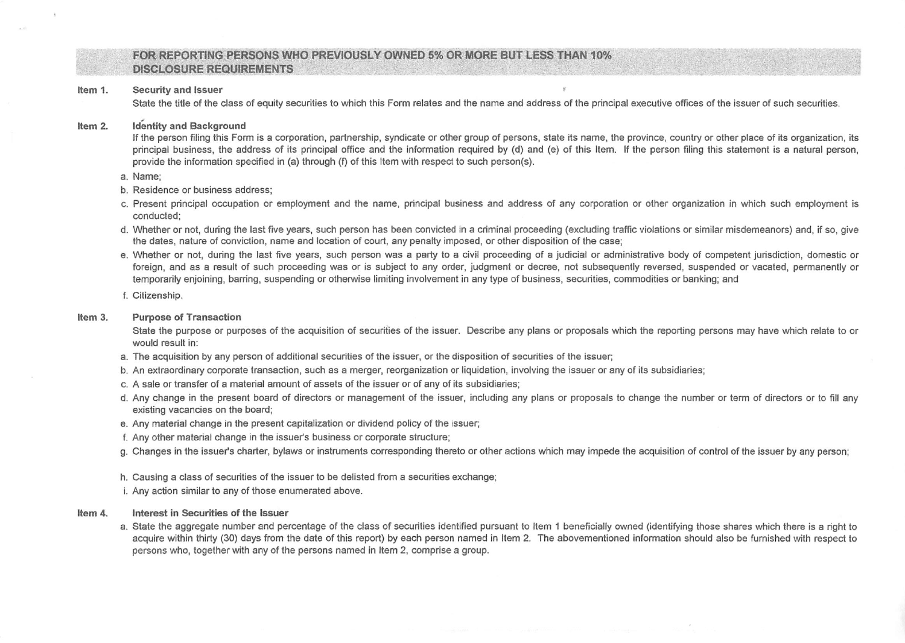## FOR REPORTING PERSONS WHO PREVIOUSLY OWNED 5% OR MORE BUT LESS THAN 10% . DISCLOSURE REQUIREMENTS

#### Security and Issuer Item 1.

State the title of the class of equity securities to which this Form relates and the name and address of the principal executive offices of the issuer of such securities

#### Item 2. Identity and Background

If the person filing this Form is a corporation, partnership, syndicate or other group of persons, state its name, the province, country or other place of its organization, its principal business, the address of its principal office and the information required by (d) and (e) of this Item. If the person filing this statement is a natural person, provide the information specified in (a) through (f) of this Item with respect to such person{s).

- a. Name;
- b. Residence or business address;
- c. Present principal occupation or employment and the name, principal business and address of any corporation or other organization in which such employment is conducted;
- d. Whether or not, during the last five years, such person has been convicted in a criminal proceeding (excluding traffic violations or similar misdemeanors) and. if so, give the dates, nature of conviction, name and location of court, any penalty imposed, or other disposition of the case;
- e. Whether or not, during the last five years, such person was a party to a civil proceeding of a judicial or administrative body of competent jurisdiction, domestic or foreign, and as a result of such proceeding was or is subject to any order, judgment or decree, not subsequently reversed, suspended or vacated, permanently or temporarily enjoining, barring, suspending or otherwise limiting involvement in any type of business, securities, commodities or banking; and
- f. Citizenship.

#### Item 3. Purpose of Transaction

State the purpose or purposes of the acquisition of securities of the issuer. Describe any plans or proposals which the reporting persons may have which relate to or would result in:

- a. The acquisition by any person of additional securities of the issuer, or the disposition of securities of the issuer;
- b. An extraordinary corporate transaction, such as a merger, reorganization or liquidation, involving the issuer or any of its subsidiaries;
- c. A sale or transfer of a material amount of assets of the Issuer or of any of its subsidiaries;
- d. Any change in the present board of directors or management of the issuer, including any plans or proposals to change the number or term of directors or to fill any existing vacancies on the board;
- e. Any material change in the present capitalization or dividend policy of the issuer;
- f. Any other material change in the issuer's business or corporate structure;
- g. Changes in the issuer's charter, bylaws or instruments corresponding thereto or other actions which may impede the acquisition of control of the issuer by any person;
- h. Causing a class of securities of the issuer to be delisted from a securities exchange;
- i. Any action similar to any of those enumerated above.

#### Item 4. Interest in Securities of the Issuer

a. State the aggregate number and percentage of the class of securities identified pursuant to Item 1 beneficially owned (identifying those shares which there is a right to acquire within thirty (30) days from the date of this report) by each person named in Item 2. The abovementioned information should also be furnished with respect to persons who, together with any of the pereons named in Item 2, comprise a group.